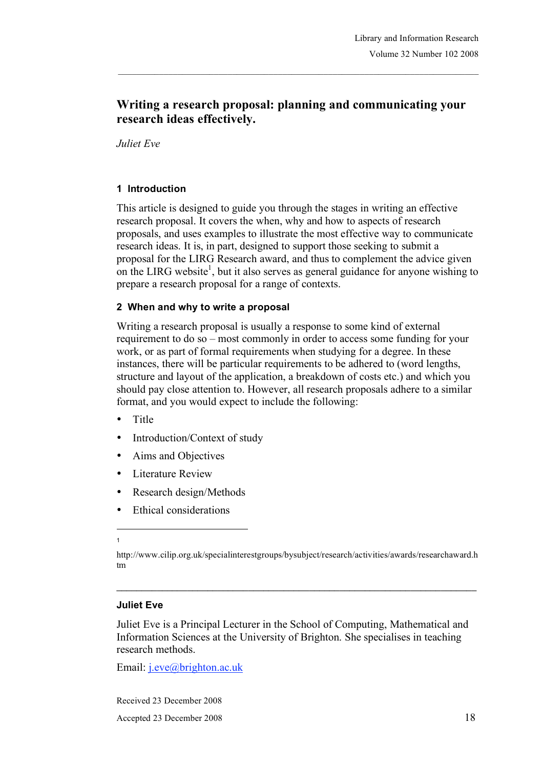# **Writing a research proposal: planning and communicating your research ideas effectively.**

*Juliet Eve*

#### **1 Introduction**

This article is designed to guide you through the stages in writing an effective research proposal. It covers the when, why and how to aspects of research proposals, and uses examples to illustrate the most effective way to communicate research ideas. It is, in part, designed to support those seeking to submit a proposal for the LIRG Research award, and thus to complement the advice given on the LIRG website<sup>1</sup>, but it also serves as general guidance for anyone wishing to prepare a research proposal for a range of contexts.

#### **2 When and why to write a proposal**

Writing a research proposal is usually a response to some kind of external requirement to do so – most commonly in order to access some funding for your work, or as part of formal requirements when studying for a degree. In these instances, there will be particular requirements to be adhered to (word lengths, structure and layout of the application, a breakdown of costs etc.) and which you should pay close attention to. However, all research proposals adhere to a similar format, and you would expect to include the following:

- Title
- Introduction/Context of study
- Aims and Objectives
- Literature Review
- Research design/Methods
- Ethical considerations

 $\mathcal{L}_\mathcal{L} = \{ \mathcal{L}_\mathcal{L} = \{ \mathcal{L}_\mathcal{L} = \{ \mathcal{L}_\mathcal{L} = \{ \mathcal{L}_\mathcal{L} = \{ \mathcal{L}_\mathcal{L} = \{ \mathcal{L}_\mathcal{L} = \{ \mathcal{L}_\mathcal{L} = \{ \mathcal{L}_\mathcal{L} = \{ \mathcal{L}_\mathcal{L} = \{ \mathcal{L}_\mathcal{L} = \{ \mathcal{L}_\mathcal{L} = \{ \mathcal{L}_\mathcal{L} = \{ \mathcal{L}_\mathcal{L} = \{ \mathcal{L}_\mathcal{$ 

#### **Juliet Eve**

Juliet Eve is a Principal Lecturer in the School of Computing, Mathematical and Information Sciences at the University of Brighton. She specialises in teaching research methods.

Email: j.eve@brighton.ac.uk

Received 23 December 2008 Accepted 23 December 2008 18

l 1

http://www.cilip.org.uk/specialinterestgroups/bysubject/research/activities/awards/researchaward.h tm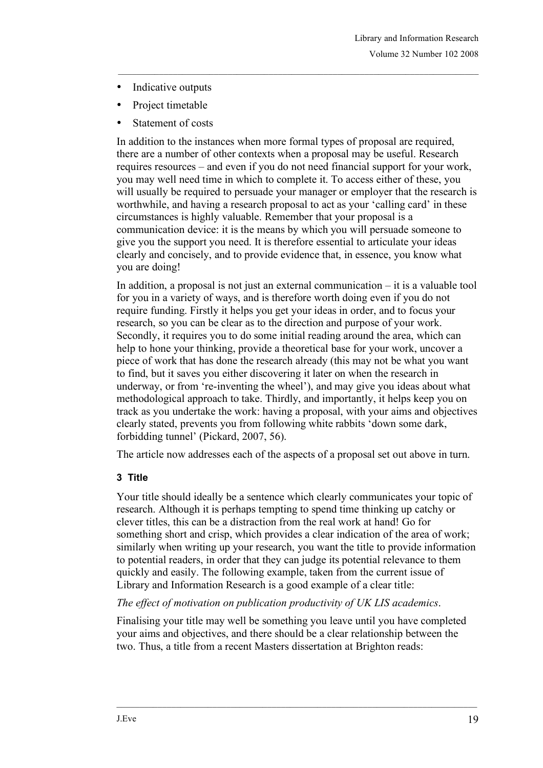- Indicative outputs
- Project timetable
- Statement of costs

In addition to the instances when more formal types of proposal are required, there are a number of other contexts when a proposal may be useful. Research requires resources – and even if you do not need financial support for your work, you may well need time in which to complete it. To access either of these, you will usually be required to persuade your manager or employer that the research is worthwhile, and having a research proposal to act as your 'calling card' in these circumstances is highly valuable. Remember that your proposal is a communication device: it is the means by which you will persuade someone to give you the support you need. It is therefore essential to articulate your ideas clearly and concisely, and to provide evidence that, in essence, you know what you are doing!

In addition, a proposal is not just an external communication – it is a valuable tool for you in a variety of ways, and is therefore worth doing even if you do not require funding. Firstly it helps you get your ideas in order, and to focus your research, so you can be clear as to the direction and purpose of your work. Secondly, it requires you to do some initial reading around the area, which can help to hone your thinking, provide a theoretical base for your work, uncover a piece of work that has done the research already (this may not be what you want to find, but it saves you either discovering it later on when the research in underway, or from 're-inventing the wheel'), and may give you ideas about what methodological approach to take. Thirdly, and importantly, it helps keep you on track as you undertake the work: having a proposal, with your aims and objectives clearly stated, prevents you from following white rabbits 'down some dark, forbidding tunnel' (Pickard, 2007, 56).

The article now addresses each of the aspects of a proposal set out above in turn.

### **3 Title**

Your title should ideally be a sentence which clearly communicates your topic of research. Although it is perhaps tempting to spend time thinking up catchy or clever titles, this can be a distraction from the real work at hand! Go for something short and crisp, which provides a clear indication of the area of work; similarly when writing up your research, you want the title to provide information to potential readers, in order that they can judge its potential relevance to them quickly and easily. The following example, taken from the current issue of Library and Information Research is a good example of a clear title:

### *The effect of motivation on publication productivity of UK LIS academics*.

Finalising your title may well be something you leave until you have completed your aims and objectives, and there should be a clear relationship between the two. Thus, a title from a recent Masters dissertation at Brighton reads: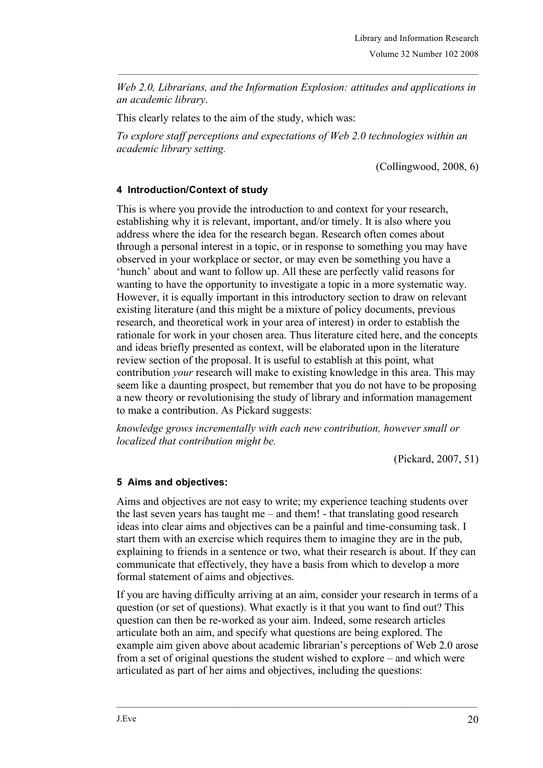*Web 2.0, Librarians, and the Information Explosion: attitudes and applications in an academic library*.

This clearly relates to the aim of the study, which was:

*To explore staff perceptions and expectations of Web 2.0 technologies within an academic library setting.*

(Collingwood, 2008, 6)

## **4 Introduction/Context of study**

This is where you provide the introduction to and context for your research, establishing why it is relevant, important, and/or timely. It is also where you address where the idea for the research began. Research often comes about through a personal interest in a topic, or in response to something you may have observed in your workplace or sector, or may even be something you have a 'hunch' about and want to follow up. All these are perfectly valid reasons for wanting to have the opportunity to investigate a topic in a more systematic way. However, it is equally important in this introductory section to draw on relevant existing literature (and this might be a mixture of policy documents, previous research, and theoretical work in your area of interest) in order to establish the rationale for work in your chosen area. Thus literature cited here, and the concepts and ideas briefly presented as context, will be elaborated upon in the literature review section of the proposal. It is useful to establish at this point, what contribution *your* research will make to existing knowledge in this area. This may seem like a daunting prospect, but remember that you do not have to be proposing a new theory or revolutionising the study of library and information management to make a contribution. As Pickard suggests:

*knowledge grows incrementally with each new contribution, however small or localized that contribution might be.*

(Pickard, 2007, 51)

### **5 Aims and objectives:**

Aims and objectives are not easy to write; my experience teaching students over the last seven years has taught me – and them! - that translating good research ideas into clear aims and objectives can be a painful and time-consuming task. I start them with an exercise which requires them to imagine they are in the pub, explaining to friends in a sentence or two, what their research is about. If they can communicate that effectively, they have a basis from which to develop a more formal statement of aims and objectives.

If you are having difficulty arriving at an aim, consider your research in terms of a question (or set of questions). What exactly is it that you want to find out? This question can then be re-worked as your aim. Indeed, some research articles articulate both an aim, and specify what questions are being explored. The example aim given above about academic librarian's perceptions of Web 2.0 arose from a set of original questions the student wished to explore – and which were articulated as part of her aims and objectives, including the questions: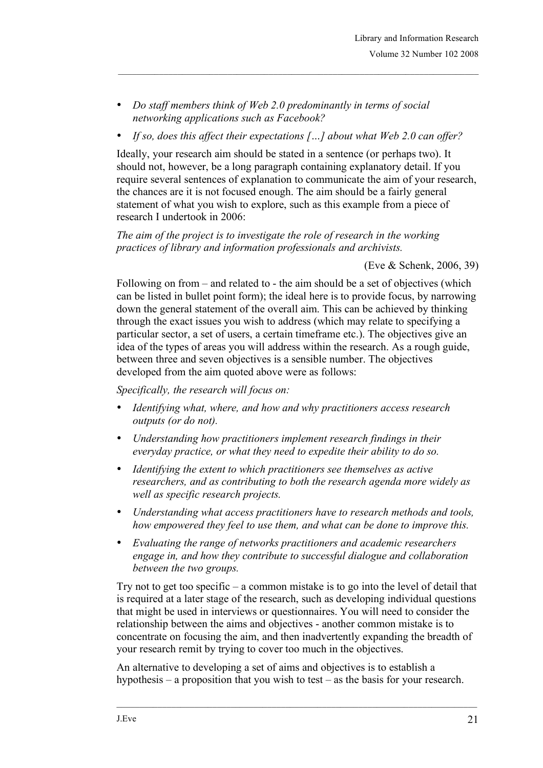- *Do staff members think of Web 2.0 predominantly in terms of social networking applications such as Facebook?*
- *If so, does this affect their expectations […] about what Web 2.0 can offer?*

Ideally, your research aim should be stated in a sentence (or perhaps two). It should not, however, be a long paragraph containing explanatory detail. If you require several sentences of explanation to communicate the aim of your research, the chances are it is not focused enough. The aim should be a fairly general statement of what you wish to explore, such as this example from a piece of research I undertook in 2006:

*The aim of the project is to investigate the role of research in the working practices of library and information professionals and archivists.*

### (Eve & Schenk, 2006, 39)

Following on from – and related to - the aim should be a set of objectives (which can be listed in bullet point form); the ideal here is to provide focus, by narrowing down the general statement of the overall aim. This can be achieved by thinking through the exact issues you wish to address (which may relate to specifying a particular sector, a set of users, a certain timeframe etc.). The objectives give an idea of the types of areas you will address within the research. As a rough guide, between three and seven objectives is a sensible number. The objectives developed from the aim quoted above were as follows:

*Specifically, the research will focus on:*

- *Identifying what, where, and how and why practitioners access research outputs (or do not).*
- *Understanding how practitioners implement research findings in their everyday practice, or what they need to expedite their ability to do so.*
- *Identifying the extent to which practitioners see themselves as active researchers, and as contributing to both the research agenda more widely as well as specific research projects.*
- *Understanding what access practitioners have to research methods and tools, how empowered they feel to use them, and what can be done to improve this.*
- *Evaluating the range of networks practitioners and academic researchers engage in, and how they contribute to successful dialogue and collaboration between the two groups.*

Try not to get too specific – a common mistake is to go into the level of detail that is required at a later stage of the research, such as developing individual questions that might be used in interviews or questionnaires. You will need to consider the relationship between the aims and objectives - another common mistake is to concentrate on focusing the aim, and then inadvertently expanding the breadth of your research remit by trying to cover too much in the objectives.

An alternative to developing a set of aims and objectives is to establish a hypothesis – a proposition that you wish to test – as the basis for your research.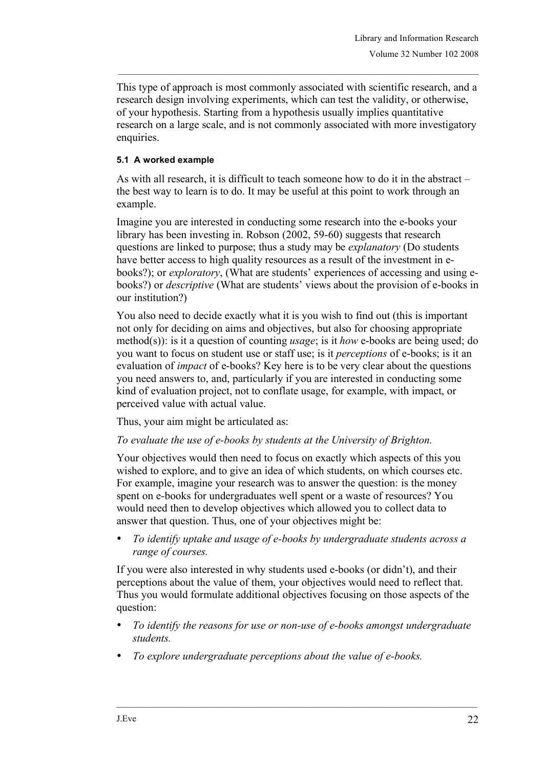This type of approach is most commonly associated with scientific research, and a research design involving experiments, which can test the validity, or otherwise, of your hypothesis. Starting from a hypothesis usually implies quantitative research on a large scale, and is not commonly associated with more investigatory enquiries.

## **5.1 A worked example**

As with all research, it is difficult to teach someone how to do it in the abstract – the best way to learn is to do. It may be useful at this point to work through an example.

Imagine you are interested in conducting some research into the e-books your library has been investing in. Robson (2002, 59-60) suggests that research questions are linked to purpose; thus a study may be *explanatory* (Do students have better access to high quality resources as a result of the investment in ebooks?); or *exploratory*, (What are students' experiences of accessing and using ebooks?) or *descriptive* (What are students' views about the provision of e-books in our institution?)

You also need to decide exactly what it is you wish to find out (this is important not only for deciding on aims and objectives, but also for choosing appropriate method(s)): is it a question of counting *usage*; is it *how* e-books are being used; do you want to focus on student use or staff use; is it *perceptions* of e-books; is it an evaluation of *impact* of e-books? Key here is to be very clear about the questions you need answers to, and, particularly if you are interested in conducting some kind of evaluation project, not to conflate usage, for example, with impact, or perceived value with actual value.

Thus, your aim might be articulated as:

## *To evaluate the use of e-books by students at the University of Brighton.*

Your objectives would then need to focus on exactly which aspects of this you wished to explore, and to give an idea of which students, on which courses etc. For example, imagine your research was to answer the question: is the money spent on e-books for undergraduates well spent or a waste of resources? You would need then to develop objectives which allowed you to collect data to answer that question. Thus, one of your objectives might be:

• *To identify uptake and usage of e-books by undergraduate students across a range of courses.*

If you were also interested in why students used e-books (or didn't), and their perceptions about the value of them, your objectives would need to reflect that. Thus you would formulate additional objectives focusing on those aspects of the question:

- *To identify the reasons for use or non-use of e-books amongst undergraduate students.*
- *To explore undergraduate perceptions about the value of e-books.*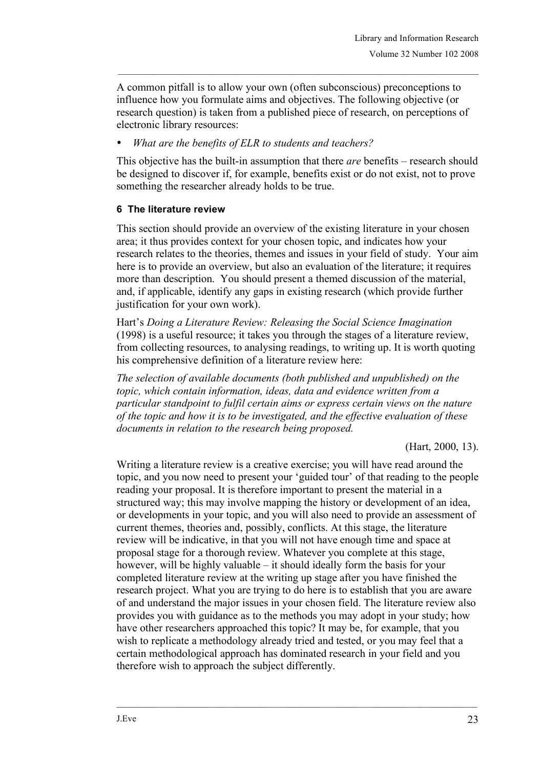A common pitfall is to allow your own (often subconscious) preconceptions to influence how you formulate aims and objectives. The following objective (or research question) is taken from a published piece of research, on perceptions of electronic library resources:

• *What are the benefits of ELR to students and teachers?*

This objective has the built-in assumption that there *are* benefits – research should be designed to discover if, for example, benefits exist or do not exist, not to prove something the researcher already holds to be true.

## **6 The literature review**

This section should provide an overview of the existing literature in your chosen area; it thus provides context for your chosen topic, and indicates how your research relates to the theories, themes and issues in your field of study. Your aim here is to provide an overview, but also an evaluation of the literature; it requires more than description. You should present a themed discussion of the material, and, if applicable, identify any gaps in existing research (which provide further justification for your own work).

Hart's *Doing a Literature Review: Releasing the Social Science Imagination* (1998) is a useful resource; it takes you through the stages of a literature review, from collecting resources, to analysing readings, to writing up. It is worth quoting his comprehensive definition of a literature review here:

*The selection of available documents (both published and unpublished) on the topic, which contain information, ideas, data and evidence written from a particular standpoint to fulfil certain aims or express certain views on the nature of the topic and how it is to be investigated, and the effective evaluation of these documents in relation to the research being proposed.*

(Hart, 2000, 13).

Writing a literature review is a creative exercise; you will have read around the topic, and you now need to present your 'guided tour' of that reading to the people reading your proposal. It is therefore important to present the material in a structured way; this may involve mapping the history or development of an idea, or developments in your topic, and you will also need to provide an assessment of current themes, theories and, possibly, conflicts. At this stage, the literature review will be indicative, in that you will not have enough time and space at proposal stage for a thorough review. Whatever you complete at this stage, however, will be highly valuable – it should ideally form the basis for your completed literature review at the writing up stage after you have finished the research project. What you are trying to do here is to establish that you are aware of and understand the major issues in your chosen field. The literature review also provides you with guidance as to the methods you may adopt in your study; how have other researchers approached this topic? It may be, for example, that you wish to replicate a methodology already tried and tested, or you may feel that a certain methodological approach has dominated research in your field and you therefore wish to approach the subject differently.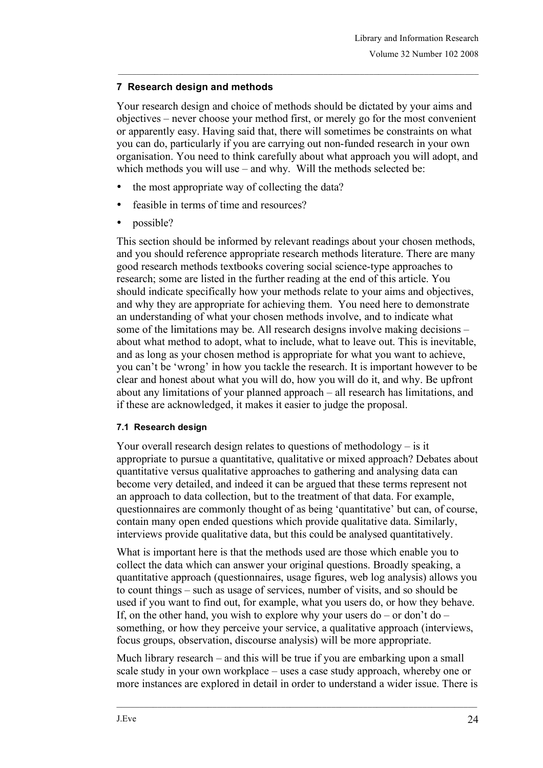## **7 Research design and methods**

Your research design and choice of methods should be dictated by your aims and objectives – never choose your method first, or merely go for the most convenient or apparently easy. Having said that, there will sometimes be constraints on what you can do, particularly if you are carrying out non-funded research in your own organisation. You need to think carefully about what approach you will adopt, and which methods you will use – and why. Will the methods selected be:

- the most appropriate way of collecting the data?
- feasible in terms of time and resources?
- possible?

This section should be informed by relevant readings about your chosen methods, and you should reference appropriate research methods literature. There are many good research methods textbooks covering social science-type approaches to research; some are listed in the further reading at the end of this article. You should indicate specifically how your methods relate to your aims and objectives, and why they are appropriate for achieving them. You need here to demonstrate an understanding of what your chosen methods involve, and to indicate what some of the limitations may be. All research designs involve making decisions – about what method to adopt, what to include, what to leave out. This is inevitable, and as long as your chosen method is appropriate for what you want to achieve, you can't be 'wrong' in how you tackle the research. It is important however to be clear and honest about what you will do, how you will do it, and why. Be upfront about any limitations of your planned approach – all research has limitations, and if these are acknowledged, it makes it easier to judge the proposal.

## **7.1 Research design**

Your overall research design relates to questions of methodology – is it appropriate to pursue a quantitative, qualitative or mixed approach? Debates about quantitative versus qualitative approaches to gathering and analysing data can become very detailed, and indeed it can be argued that these terms represent not an approach to data collection, but to the treatment of that data. For example, questionnaires are commonly thought of as being 'quantitative' but can, of course, contain many open ended questions which provide qualitative data. Similarly, interviews provide qualitative data, but this could be analysed quantitatively.

What is important here is that the methods used are those which enable you to collect the data which can answer your original questions. Broadly speaking, a quantitative approach (questionnaires, usage figures, web log analysis) allows you to count things – such as usage of services, number of visits, and so should be used if you want to find out, for example, what you users do, or how they behave. If, on the other hand, you wish to explore why your users  $do - or don't do$ something, or how they perceive your service, a qualitative approach (interviews, focus groups, observation, discourse analysis) will be more appropriate.

Much library research – and this will be true if you are embarking upon a small scale study in your own workplace – uses a case study approach, whereby one or more instances are explored in detail in order to understand a wider issue. There is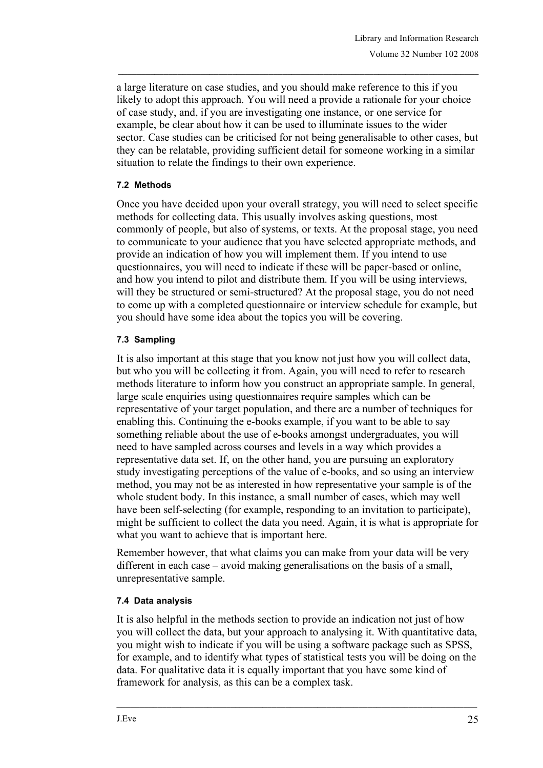a large literature on case studies, and you should make reference to this if you likely to adopt this approach. You will need a provide a rationale for your choice of case study, and, if you are investigating one instance, or one service for example, be clear about how it can be used to illuminate issues to the wider sector. Case studies can be criticised for not being generalisable to other cases, but they can be relatable, providing sufficient detail for someone working in a similar situation to relate the findings to their own experience.

### **7.2 Methods**

Once you have decided upon your overall strategy, you will need to select specific methods for collecting data. This usually involves asking questions, most commonly of people, but also of systems, or texts. At the proposal stage, you need to communicate to your audience that you have selected appropriate methods, and provide an indication of how you will implement them. If you intend to use questionnaires, you will need to indicate if these will be paper-based or online, and how you intend to pilot and distribute them. If you will be using interviews, will they be structured or semi-structured? At the proposal stage, you do not need to come up with a completed questionnaire or interview schedule for example, but you should have some idea about the topics you will be covering.

## **7.3 Sampling**

It is also important at this stage that you know not just how you will collect data, but who you will be collecting it from. Again, you will need to refer to research methods literature to inform how you construct an appropriate sample. In general, large scale enquiries using questionnaires require samples which can be representative of your target population, and there are a number of techniques for enabling this. Continuing the e-books example, if you want to be able to say something reliable about the use of e-books amongst undergraduates, you will need to have sampled across courses and levels in a way which provides a representative data set. If, on the other hand, you are pursuing an exploratory study investigating perceptions of the value of e-books, and so using an interview method, you may not be as interested in how representative your sample is of the whole student body. In this instance, a small number of cases, which may well have been self-selecting (for example, responding to an invitation to participate), might be sufficient to collect the data you need. Again, it is what is appropriate for what you want to achieve that is important here.

Remember however, that what claims you can make from your data will be very different in each case – avoid making generalisations on the basis of a small, unrepresentative sample.

### **7.4 Data analysis**

It is also helpful in the methods section to provide an indication not just of how you will collect the data, but your approach to analysing it. With quantitative data, you might wish to indicate if you will be using a software package such as SPSS, for example, and to identify what types of statistical tests you will be doing on the data. For qualitative data it is equally important that you have some kind of framework for analysis, as this can be a complex task.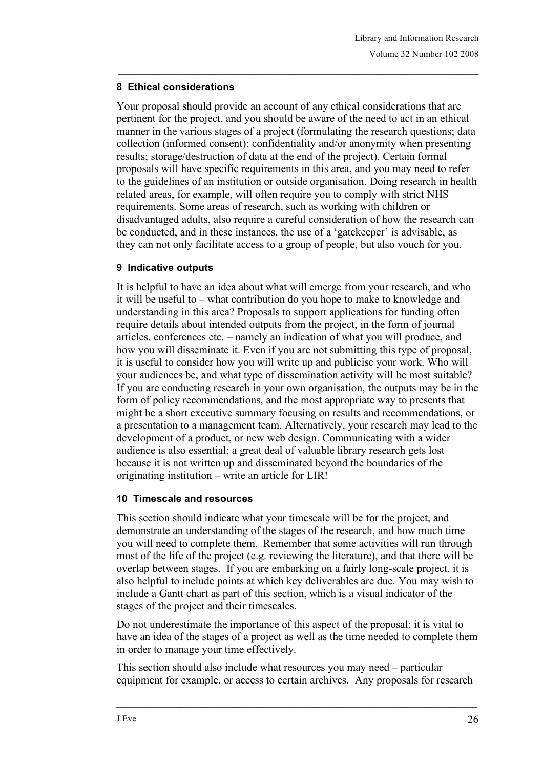## **8 Ethical considerations**

Your proposal should provide an account of any ethical considerations that are pertinent for the project, and you should be aware of the need to act in an ethical manner in the various stages of a project (formulating the research questions; data collection (informed consent); confidentiality and/or anonymity when presenting results; storage/destruction of data at the end of the project). Certain formal proposals will have specific requirements in this area, and you may need to refer to the guidelines of an institution or outside organisation. Doing research in health related areas, for example, will often require you to comply with strict NHS requirements. Some areas of research, such as working with children or disadvantaged adults, also require a careful consideration of how the research can be conducted, and in these instances, the use of a 'gatekeeper' is advisable, as they can not only facilitate access to a group of people, but also vouch for you.

## **9 Indicative outputs**

It is helpful to have an idea about what will emerge from your research, and who it will be useful to – what contribution do you hope to make to knowledge and understanding in this area? Proposals to support applications for funding often require details about intended outputs from the project, in the form of journal articles, conferences etc. – namely an indication of what you will produce, and how you will disseminate it. Even if you are not submitting this type of proposal, it is useful to consider how you will write up and publicise your work. Who will your audiences be, and what type of dissemination activity will be most suitable? If you are conducting research in your own organisation, the outputs may be in the form of policy recommendations, and the most appropriate way to presents that might be a short executive summary focusing on results and recommendations, or a presentation to a management team. Alternatively, your research may lead to the development of a product, or new web design. Communicating with a wider audience is also essential; a great deal of valuable library research gets lost because it is not written up and disseminated beyond the boundaries of the originating institution – write an article for LIR!

### **10 Timescale and resources**

This section should indicate what your timescale will be for the project, and demonstrate an understanding of the stages of the research, and how much time you will need to complete them. Remember that some activities will run through most of the life of the project (e.g. reviewing the literature), and that there will be overlap between stages. If you are embarking on a fairly long-scale project, it is also helpful to include points at which key deliverables are due. You may wish to include a Gantt chart as part of this section, which is a visual indicator of the stages of the project and their timescales.

Do not underestimate the importance of this aspect of the proposal; it is vital to have an idea of the stages of a project as well as the time needed to complete them in order to manage your time effectively.

This section should also include what resources you may need – particular equipment for example, or access to certain archives. Any proposals for research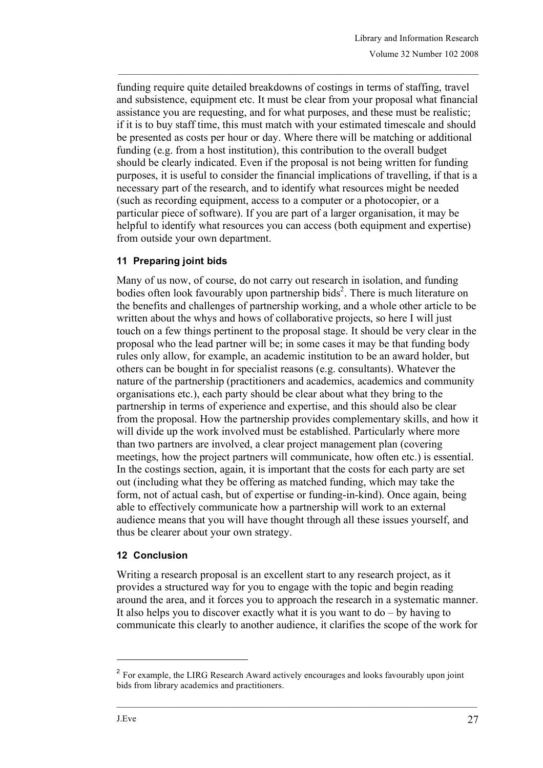funding require quite detailed breakdowns of costings in terms of staffing, travel and subsistence, equipment etc. It must be clear from your proposal what financial assistance you are requesting, and for what purposes, and these must be realistic; if it is to buy staff time, this must match with your estimated timescale and should be presented as costs per hour or day. Where there will be matching or additional funding (e.g. from a host institution), this contribution to the overall budget should be clearly indicated. Even if the proposal is not being written for funding purposes, it is useful to consider the financial implications of travelling, if that is a necessary part of the research, and to identify what resources might be needed (such as recording equipment, access to a computer or a photocopier, or a particular piece of software). If you are part of a larger organisation, it may be helpful to identify what resources you can access (both equipment and expertise) from outside your own department.

## **11 Preparing joint bids**

Many of us now, of course, do not carry out research in isolation, and funding bodies often look favourably upon partnership bids<sup>2</sup>. There is much literature on the benefits and challenges of partnership working, and a whole other article to be written about the whys and hows of collaborative projects, so here I will just touch on a few things pertinent to the proposal stage. It should be very clear in the proposal who the lead partner will be; in some cases it may be that funding body rules only allow, for example, an academic institution to be an award holder, but others can be bought in for specialist reasons (e.g. consultants). Whatever the nature of the partnership (practitioners and academics, academics and community organisations etc.), each party should be clear about what they bring to the partnership in terms of experience and expertise, and this should also be clear from the proposal. How the partnership provides complementary skills, and how it will divide up the work involved must be established. Particularly where more than two partners are involved, a clear project management plan (covering meetings, how the project partners will communicate, how often etc.) is essential. In the costings section, again, it is important that the costs for each party are set out (including what they be offering as matched funding, which may take the form, not of actual cash, but of expertise or funding-in-kind). Once again, being able to effectively communicate how a partnership will work to an external audience means that you will have thought through all these issues yourself, and thus be clearer about your own strategy.

## **12 Conclusion**

Writing a research proposal is an excellent start to any research project, as it provides a structured way for you to engage with the topic and begin reading around the area, and it forces you to approach the research in a systematic manner. It also helps you to discover exactly what it is you want to  $do - by$  having to communicate this clearly to another audience, it clarifies the scope of the work for

l

<sup>&</sup>lt;sup>2</sup> For example, the LIRG Research Award actively encourages and looks favourably upon joint bids from library academics and practitioners.